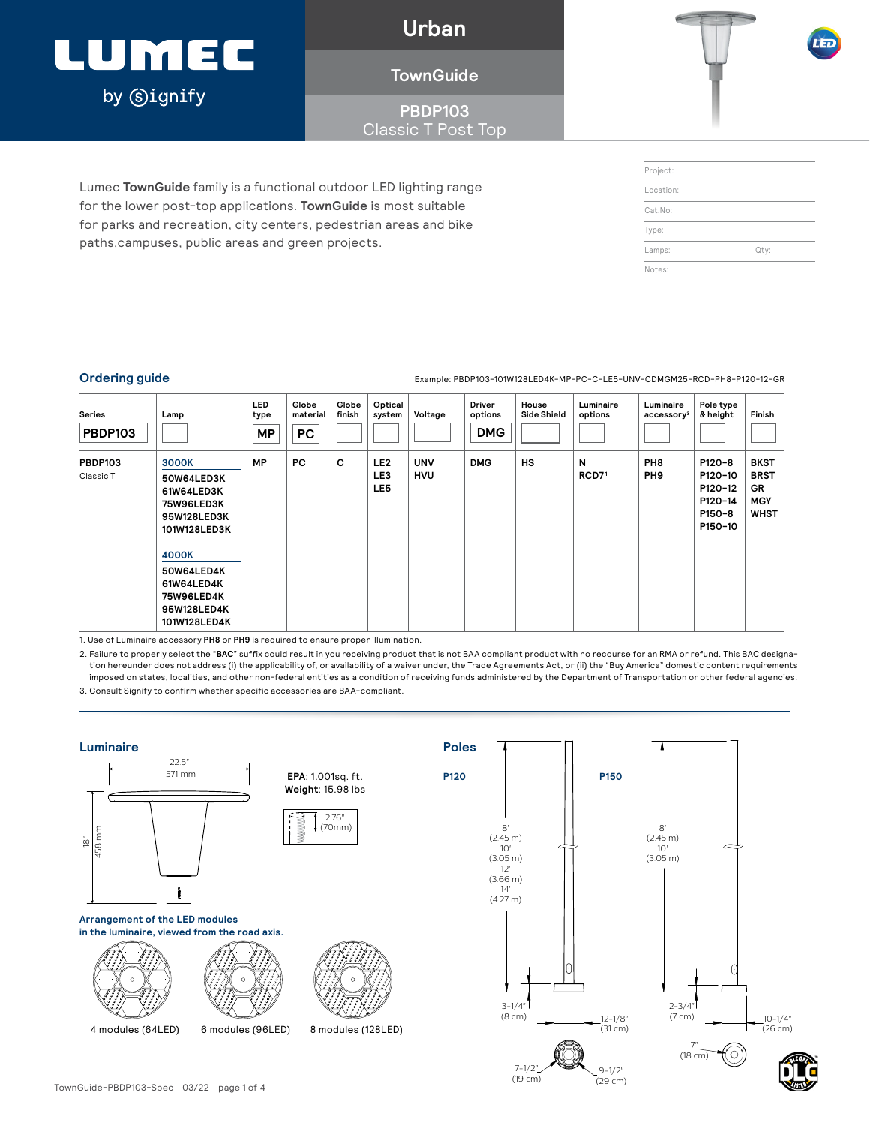### LUMEC by **Signify**

**Urban**

### **TownGuide**

**PBDP103** Classic T Post Top

Lumec **TownGuide** family is a functional outdoor LED lighting range for the lower post-top applications. **TownGuide** is most suitable for parks and recreation, city centers, pedestrian areas and bike paths,campuses, public areas and green projects.

| Project:  |      |  |
|-----------|------|--|
| Location: |      |  |
| Cat.No:   |      |  |
| Type:     |      |  |
| Lamps:    | Qty: |  |
| Notes:    |      |  |

Ordering guide **Example: PBDP103-101W128LED4K-MP-PC-C-LE5-UNV-CDMGM25-RCD-PH8-P120-12-GR** 

| Series<br><b>PBDP103</b>    | Lamp                                                                                                                                                                           | <b>LED</b><br>type<br><b>MP</b> | Globe<br>material<br>PC | Globe<br>finish | Optical<br>system             | Voltage                  | Driver<br>options<br><b>DMG</b> | House<br><b>Side Shield</b> | Luminaire<br>options   | Luminaire<br>accessory <sup>3</sup> | Pole type<br>& height                                        | Finish                                                               |
|-----------------------------|--------------------------------------------------------------------------------------------------------------------------------------------------------------------------------|---------------------------------|-------------------------|-----------------|-------------------------------|--------------------------|---------------------------------|-----------------------------|------------------------|-------------------------------------|--------------------------------------------------------------|----------------------------------------------------------------------|
| <b>PBDP103</b><br>Classic T | <b>3000K</b><br>50W64LED3K<br>61W64LED3K<br><b>75W96LED3K</b><br>95W128LED3K<br>101W128LED3K<br>4000K<br>50W64LED4K<br>61W64LED4K<br>75W96LED4K<br>95W128LED4K<br>101W128LED4K | MP                              | PC                      | c               | LE <sub>2</sub><br>LE3<br>LE5 | <b>UNV</b><br><b>HVU</b> | <b>DMG</b>                      | <b>HS</b>                   | N<br>RCD7 <sup>1</sup> | PH <sub>8</sub><br>PH <sub>9</sub>  | P120-8<br>P120-10<br>P120-12<br>P120-14<br>P150-8<br>P150-10 | <b>BKST</b><br><b>BRST</b><br><b>GR</b><br><b>MGY</b><br><b>WHST</b> |

1. Use of Luminaire accessory **PH8** or **PH9** is required to ensure proper illumination.

2. Failure to properly select the "**BAC**" suffix could result in you receiving product that is not BAA compliant product with no recourse for an RMA or refund. This BAC designation hereunder does not address (i) the applicability of, or availability of a waiver under, the Trade Agreements Act, or (ii) the "Buy America" domestic content requirements imposed on states, localities, and other non-federal entities as a condition of receiving funds administered by the Department of Transportation or other federal agencies.

3. Consult Signify to confirm whether specific accessories are BAA-compliant.

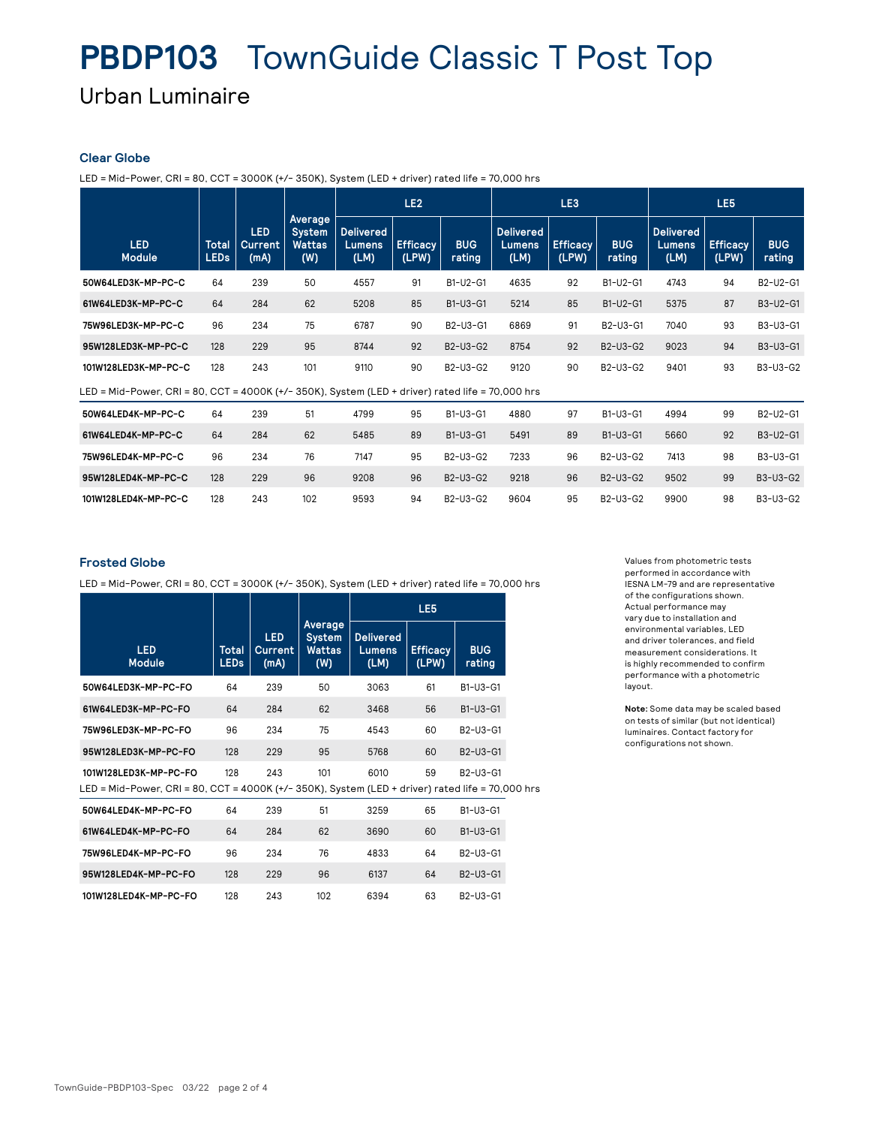# **PBDP103** TownGuide Classic T Post Top

Urban Luminaire

#### **Clear Globe**

LED = Mid-Power, CRI = 80, CCT = 3000K (+/- 350K), System (LED + driver) rated life = 70,000 hrs

|                                                                                                  |                             |                                      | LE <sub>2</sub>                                         |                                    |                          | LE <sub>3</sub>      |                                           |                          | LE <sub>5</sub>      |                                    |                          |                      |
|--------------------------------------------------------------------------------------------------|-----------------------------|--------------------------------------|---------------------------------------------------------|------------------------------------|--------------------------|----------------------|-------------------------------------------|--------------------------|----------------------|------------------------------------|--------------------------|----------------------|
| <b>LED</b><br><b>Module</b>                                                                      | <b>Total</b><br><b>LEDs</b> | <b>LED</b><br><b>Current</b><br>(mA) | <b>Average</b><br><b>System</b><br><b>Wattas</b><br>(W) | <b>Delivered</b><br>Lumens<br>(LM) | <b>Efficacy</b><br>(LPW) | <b>BUG</b><br>rating | <b>Delivered</b><br><b>Lumens</b><br>(LM) | <b>Efficacy</b><br>(LPW) | <b>BUG</b><br>rating | <b>Delivered</b><br>Lumens<br>(LM) | <b>Efficacy</b><br>(LPW) | <b>BUG</b><br>rating |
| 50W64LED3K-MP-PC-C                                                                               | 64                          | 239                                  | 50                                                      | 4557                               | 91                       | B1-U2-G1             | 4635                                      | 92                       | B1-U2-G1             | 4743                               | 94                       | B2-U2-G1             |
| 61W64LED3K-MP-PC-C                                                                               | 64                          | 284                                  | 62                                                      | 5208                               | 85                       | B1-U3-G1             | 5214                                      | 85                       | B1-U2-G1             | 5375                               | 87                       | B3-U2-G1             |
| 75W96LED3K-MP-PC-C                                                                               | 96                          | 234                                  | 75                                                      | 6787                               | 90                       | B2-U3-G1             | 6869                                      | 91                       | B2-U3-G1             | 7040                               | 93                       | B3-U3-G1             |
| 95W128LED3K-MP-PC-C                                                                              | 128                         | 229                                  | 95                                                      | 8744                               | 92                       | B2-U3-G2             | 8754                                      | 92                       | B2-U3-G2             | 9023                               | 94                       | B3-U3-G1             |
| 101W128LED3K-MP-PC-C                                                                             | 128                         | 243                                  | 101                                                     | 9110                               | 90                       | B2-U3-G2             | 9120                                      | 90                       | B2-U3-G2             | 9401                               | 93                       | B3-U3-G2             |
| LED = Mid-Power, CRI = 80, CCT = 4000K (+/- 350K), System (LED + driver) rated life = 70,000 hrs |                             |                                      |                                                         |                                    |                          |                      |                                           |                          |                      |                                    |                          |                      |
| 50W64LED4K-MP-PC-C                                                                               | 64                          | 239                                  | 51                                                      | 4799                               | 95                       | B1-U3-G1             | 4880                                      | 97                       | B1-U3-G1             | 4994                               | 99                       | B2-U2-G1             |
| 61W64LED4K-MP-PC-C                                                                               | 64                          | 284                                  | 62                                                      | 5485                               | 89                       | B1-U3-G1             | 5491                                      | 89                       | B1-U3-G1             | 5660                               | 92                       | B3-U2-G1             |
| 75W96LED4K-MP-PC-C                                                                               | 96                          | 234                                  | 76                                                      | 7147                               | 95                       | B2-U3-G2             | 7233                                      | 96                       | B2-U3-G2             | 7413                               | 98                       | B3-U3-G1             |
| 95W128LED4K-MP-PC-C                                                                              | 128                         | 229                                  | 96                                                      | 9208                               | 96                       | B2-U3-G2             | 9218                                      | 96                       | B2-U3-G2             | 9502                               | 99                       | B3-U3-G2             |

**101W128LED4K-MP-PC-C** 128 243 102 9593 94 B2-U3-G2 9604 95 B2-U3-G2 9900 98 B3-U3-G2

#### **Frosted Globe**

LED = Mid-Power, CRI = 80, CCT = 3000K (+/- 350K), System (LED + driver) rated life = 70,000 hrs

| <b>LED</b><br><b>Module</b>                                                                                               | Total<br><b>LEDs</b> | <b>LED</b><br>Current<br>(mA) | Average<br><b>System</b><br><b>Wattas</b><br>(W) | <b>Delivered</b><br>Lumens<br>(LM) | <b>Efficacy</b><br>(LPW) | <b>BUG</b><br>rating                           |  |
|---------------------------------------------------------------------------------------------------------------------------|----------------------|-------------------------------|--------------------------------------------------|------------------------------------|--------------------------|------------------------------------------------|--|
| 50W64LED3K-MP-PC-FO                                                                                                       | 64                   | 239                           | 50                                               | 3063                               | 61                       | B1-U3-G1                                       |  |
| 61W64LED3K-MP-PC-FO                                                                                                       | 64                   | 284                           | 62                                               | 3468                               | 56                       | $B1-U3-G1$                                     |  |
| 75W96LED3K-MP-PC-FO                                                                                                       | 96                   | 234                           | 75                                               | 4543                               | 60                       | B2-U3-G1                                       |  |
| 95W128LED3K-MP-PC-FO                                                                                                      | 128                  | 229                           | 95                                               | 5768                               | 60                       | B2-U3-G1                                       |  |
| 101W128LED3K-MP-PC-FO<br>LED = Mid-Power, CRI = 80, CCT = 4000K (+/- 350K), System (LED + driver) rated life = 70,000 hrs | 128                  | 243                           | 101                                              | 6010                               | 59                       | B <sub>2</sub> -U <sub>3</sub> -G <sub>1</sub> |  |
| 50W64LED4K-MP-PC-FO                                                                                                       | 64                   | 239                           | 51                                               | 3259                               | 65                       | B1-U3-G1                                       |  |
| 61W64LED4K-MP-PC-FO                                                                                                       | 64                   | 284                           | 62                                               | 3690                               | 60                       | $B1-U3-G1$                                     |  |

**75W96LED4K-MP-PC-FO** 96 234 76 4833 64 B2-U3-G1 **95W128LED4K-MP-PC-FO** 128 229 96 6137 64 B2-U3-G1 **101W128LED4K-MP-PC-FO** 128 243 102 6394 63 B2-U3-G1

Values from photometric tests performed in accordance with IESNA LM-79 and are representative of the configurations shown. Actual performance may vary due to installation and environmental variables, LED and driver tolerances, and field measurement considerations. It is highly recommended to confirm performance with a photometric layout.

**Note:** Some data may be scaled based on tests of similar (but not identical) luminaires. Contact factory for configurations not shown.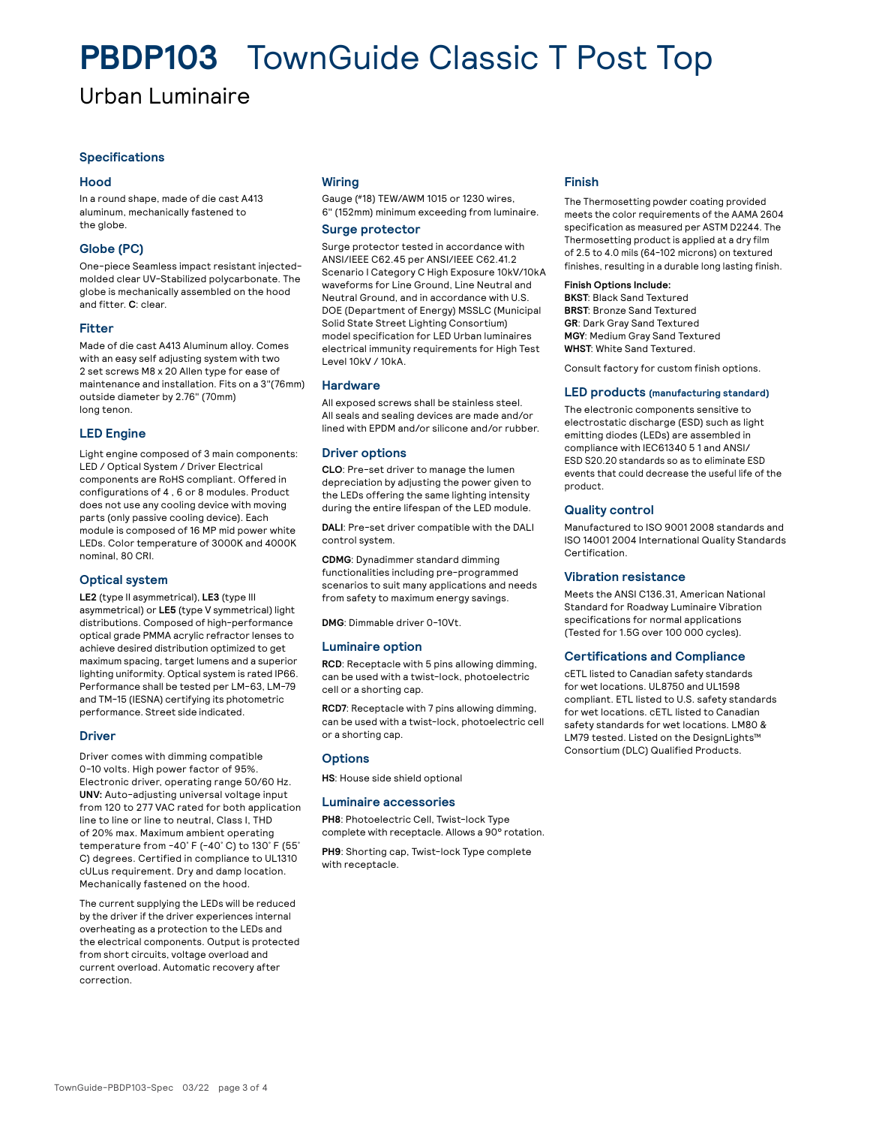### **PBDP103** TownGuide Classic T Post Top

### Urban Luminaire

#### **Specifications**

#### **Hood**

In a round shape, made of die cast A413 aluminum, mechanically fastened to the globe.

#### **Globe (PC)**

One-piece Seamless impact resistant injectedmolded clear UV-Stabilized polycarbonate. The globe is mechanically assembled on the hood and fitter. **C**: clear.

#### **Fitter**

Made of die cast A413 Aluminum alloy. Comes with an easy self adjusting system with two 2 set screws M8 x 20 Allen type for ease of maintenance and installation. Fits on a 3"(76mm) outside diameter by 2.76" (70mm) long tenon.

#### **LED Engine**

Light engine composed of 3 main components: LED / Optical System / Driver Electrical components are RoHS compliant. Offered in configurations of 4 , 6 or 8 modules. Product does not use any cooling device with moving parts (only passive cooling device). Each module is composed of 16 MP mid power white LEDs. Color temperature of 3000K and 4000K nominal, 80 CRI.

#### **Optical system**

**LE2** (type II asymmetrical), **LE3** (type III asymmetrical) or **LE5** (type V symmetrical) light distributions. Composed of high-performance optical grade PMMA acrylic refractor lenses to achieve desired distribution optimized to get maximum spacing, target lumens and a superior lighting uniformity. Optical system is rated IP66. Performance shall be tested per LM-63, LM-79 and TM-15 (IESNA) certifying its photometric performance. Street side indicated.

#### **Driver**

Driver comes with dimming compatible 0-10 volts. High power factor of 95%. Electronic driver, operating range 50/60 Hz. **UNV:** Auto-adjusting universal voltage input from 120 to 277 VAC rated for both application line to line or line to neutral, Class I, THD of 20% max. Maximum ambient operating temperature from -40˚ F (-40˚ C) to 130˚ F (55˚ C) degrees. Certified in compliance to UL1310 cULus requirement. Dry and damp location. Mechanically fastened on the hood.

The current supplying the LEDs will be reduced by the driver if the driver experiences internal overheating as a protection to the LEDs and the electrical components. Output is protected from short circuits, voltage overload and current overload. Automatic recovery after correction.

#### **Wiring**

Gauge (#18) TEW/AWM 1015 or 1230 wires, 6" (152mm) minimum exceeding from luminaire.

#### **Surge protector**

Surge protector tested in accordance with ANSI/IEEE C62.45 per ANSI/IEEE C62.41.2 Scenario I Category C High Exposure 10kV/10kA waveforms for Line Ground, Line Neutral and Neutral Ground, and in accordance with U.S. DOE (Department of Energy) MSSLC (Municipal Solid State Street Lighting Consortium) model specification for LED Urban luminaires electrical immunity requirements for High Test Level 10kV / 10kA.

#### **Hardware**

All exposed screws shall be stainless steel. All seals and sealing devices are made and/or lined with EPDM and/or silicone and/or rubber.

#### **Driver options**

**CLO**: Pre-set driver to manage the lumen depreciation by adjusting the power given to the LEDs offering the same lighting intensity during the entire lifespan of the LED module.

**DALI**: Pre-set driver compatible with the DALI control system.

**CDMG**: Dynadimmer standard dimming functionalities including pre-programmed scenarios to suit many applications and needs from safety to maximum energy savings.

**DMG**: Dimmable driver 0-10Vt.

#### **Luminaire option**

**RCD**: Receptacle with 5 pins allowing dimming, can be used with a twist-lock, photoelectric cell or a shorting cap.

**RCD7**: Receptacle with 7 pins allowing dimming, can be used with a twist-lock, photoelectric cell or a shorting cap.

#### **Options**

**HS**: House side shield optional

#### **Luminaire accessories**

**PH8**: Photoelectric Cell, Twist-lock Type complete with receptacle. Allows a 90° rotation.

**PH9**: Shorting cap, Twist-lock Type complete with receptacle.

#### **Finish**

The Thermosetting powder coating provided meets the color requirements of the AAMA 2604 specification as measured per ASTM D2244. The Thermosetting product is applied at a dry film of 2.5 to 4.0 mils (64-102 microns) on textured finishes, resulting in a durable long lasting finish.

#### **Finish Options Include:**

**BKST**: Black Sand Textured **BRST**: Bronze Sand Textured **GR**: Dark Gray Sand Textured **MGY**: Medium Gray Sand Textured **WHST**: White Sand Textured.

Consult factory for custom finish options.

#### **LED products (manufacturing standard)**

The electronic components sensitive to electrostatic discharge (ESD) such as light emitting diodes (LEDs) are assembled in compliance with IEC61340 5 1 and ANSI/ ESD S20.20 standards so as to eliminate ESD events that could decrease the useful life of the product.

#### **Quality control**

Manufactured to ISO 9001 2008 standards and ISO 14001 2004 International Quality Standards **Certification** 

#### **Vibration resistance**

Meets the ANSI C136.31, American National Standard for Roadway Luminaire Vibration specifications for normal applications (Tested for 1.5G over 100 000 cycles).

#### **Certifications and Compliance**

cETL listed to Canadian safety standards for wet locations. UL8750 and UL1598 compliant. ETL listed to U.S. safety standards for wet locations. cETL listed to Canadian safety standards for wet locations. LM80 & LM79 tested. Listed on the DesignLights™ Consortium (DLC) Qualified Products.